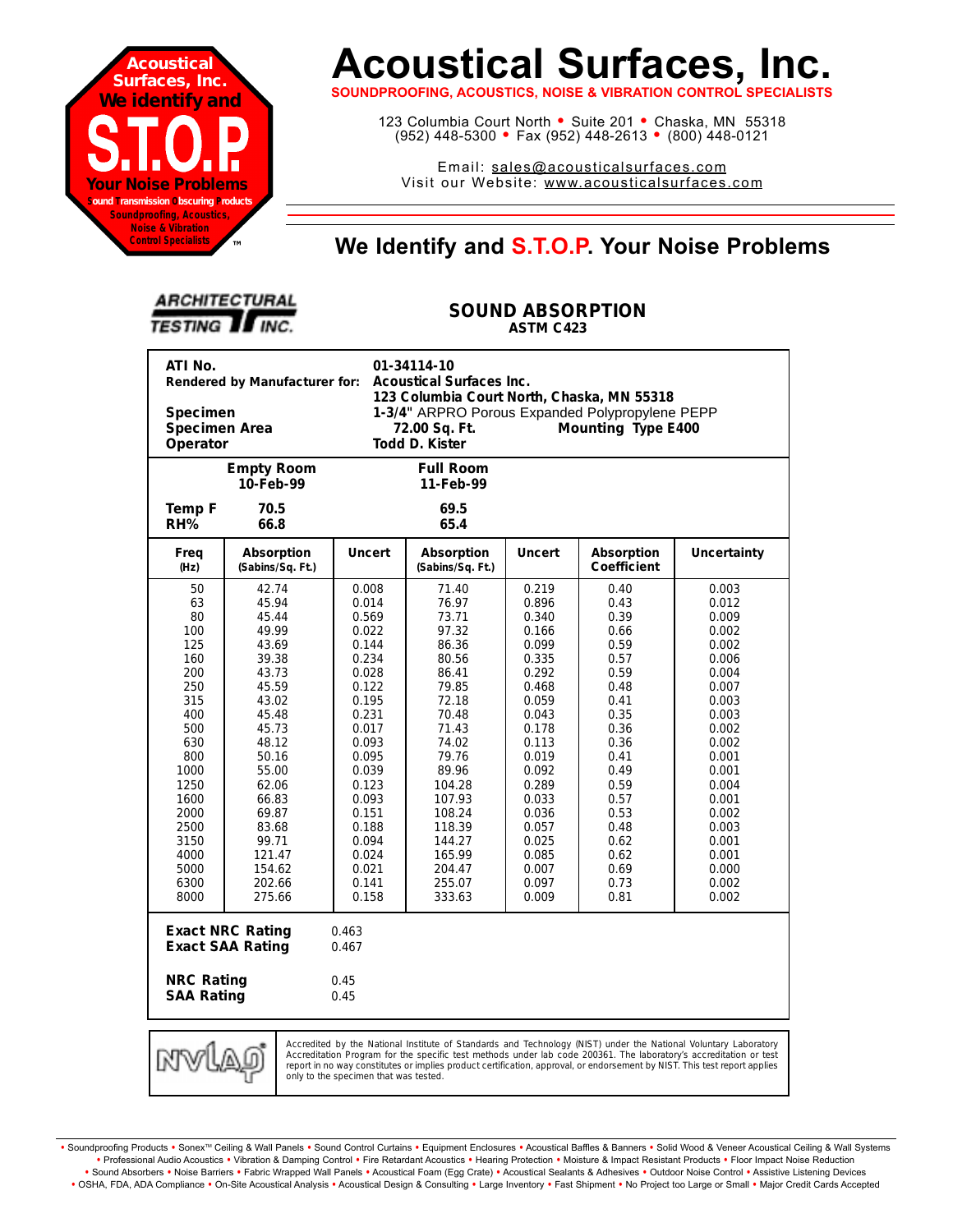

# **Acoustical Surfaces, Inc.**

**SOUNDPROOFING, ACOUSTICS, NOISE & VIBRATION CONTROL SPECIALISTS**

123 Columbia Court North · Suite 201 · Chaska, MN 55318 (952) 448-5300 <sup>=</sup> Fax (952) 448-2613 <sup>=</sup> (800) 448-0121

Email: sales@acousticalsurfaces.com Visit our Website: www.acousticalsurfaces.com

## **™ We Identify and S.T.O.P. Your Noise Problems**

| <b>ARCHITECTURAL</b>   |  |
|------------------------|--|
| <b>TESTING II INC.</b> |  |

#### **SOUND ABSORPTION ASTM C423**

| ATI No.<br>01-34114-10<br>Rendered by Manufacturer for:<br><b>Acoustical Surfaces Inc.</b><br>123 Columbia Court North, Chaska, MN 55318<br>1-3/4" ARPRO Porous Expanded Polypropylene PEPP<br><b>Specimen</b><br>Specimen Area<br>Mounting Type E400<br>72.00 Sq. Ft.<br>Operator<br>Todd D. Kister                                                                                                 |                                                                                                                                                                                                                 |                                                                                                                                                                                                             |                                                                                                                                                                                                                      |                                                                                                                                                                                                             |                                                                                                                                                                                      |                                                                                                                                                                                                             |  |
|------------------------------------------------------------------------------------------------------------------------------------------------------------------------------------------------------------------------------------------------------------------------------------------------------------------------------------------------------------------------------------------------------|-----------------------------------------------------------------------------------------------------------------------------------------------------------------------------------------------------------------|-------------------------------------------------------------------------------------------------------------------------------------------------------------------------------------------------------------|----------------------------------------------------------------------------------------------------------------------------------------------------------------------------------------------------------------------|-------------------------------------------------------------------------------------------------------------------------------------------------------------------------------------------------------------|--------------------------------------------------------------------------------------------------------------------------------------------------------------------------------------|-------------------------------------------------------------------------------------------------------------------------------------------------------------------------------------------------------------|--|
|                                                                                                                                                                                                                                                                                                                                                                                                      | <b>Empty Room</b><br>10-Feb-99                                                                                                                                                                                  |                                                                                                                                                                                                             | <b>Full Room</b><br>11-Feb-99                                                                                                                                                                                        |                                                                                                                                                                                                             |                                                                                                                                                                                      |                                                                                                                                                                                                             |  |
| Temp F<br>RH%                                                                                                                                                                                                                                                                                                                                                                                        | 70.5<br>66.8                                                                                                                                                                                                    |                                                                                                                                                                                                             | 69.5<br>65.4                                                                                                                                                                                                         |                                                                                                                                                                                                             |                                                                                                                                                                                      |                                                                                                                                                                                                             |  |
| Freq<br>(Hz)                                                                                                                                                                                                                                                                                                                                                                                         | Absorption<br>(Sabins/Sq. Ft.)                                                                                                                                                                                  | <b>Uncert</b>                                                                                                                                                                                               | Absorption<br>(Sabins/Sq. Ft.)                                                                                                                                                                                       | <b>Uncert</b>                                                                                                                                                                                               | Absorption<br><b>Coefficient</b>                                                                                                                                                     | <b>Uncertainty</b>                                                                                                                                                                                          |  |
| 50<br>63<br>80<br>100<br>125<br>160<br>200<br>250<br>315<br>400<br>500<br>630<br>800<br>1000<br>1250<br>1600<br>2000<br>2500<br>3150<br>4000<br>5000<br>6300<br>8000                                                                                                                                                                                                                                 | 42.74<br>45.94<br>45.44<br>49.99<br>43.69<br>39.38<br>43.73<br>45.59<br>43.02<br>45.48<br>45.73<br>48.12<br>50.16<br>55.00<br>62.06<br>66.83<br>69.87<br>83.68<br>99.71<br>121.47<br>154.62<br>202.66<br>275.66 | 0.008<br>0.014<br>0.569<br>0.022<br>0.144<br>0.234<br>0.028<br>0.122<br>0.195<br>0.231<br>0.017<br>0.093<br>0.095<br>0.039<br>0.123<br>0.093<br>0.151<br>0.188<br>0.094<br>0.024<br>0.021<br>0.141<br>0.158 | 71.40<br>76.97<br>73.71<br>97.32<br>86.36<br>80.56<br>86.41<br>79.85<br>72.18<br>70.48<br>71.43<br>74.02<br>79.76<br>89.96<br>104.28<br>107.93<br>108.24<br>118.39<br>144.27<br>165.99<br>204.47<br>255.07<br>333.63 | 0.219<br>0.896<br>0.340<br>0.166<br>0.099<br>0.335<br>0.292<br>0.468<br>0.059<br>0.043<br>0.178<br>0.113<br>0.019<br>0.092<br>0.289<br>0.033<br>0.036<br>0.057<br>0.025<br>0.085<br>0.007<br>0.097<br>0.009 | 0.40<br>0.43<br>0.39<br>0.66<br>0.59<br>0.57<br>0.59<br>0.48<br>0.41<br>0.35<br>0.36<br>0.36<br>0.41<br>0.49<br>0.59<br>0.57<br>0.53<br>0.48<br>0.62<br>0.62<br>0.69<br>0.73<br>0.81 | 0.003<br>0.012<br>0.009<br>0.002<br>0.002<br>0.006<br>0.004<br>0.007<br>0.003<br>0.003<br>0.002<br>0.002<br>0.001<br>0.001<br>0.004<br>0.001<br>0.002<br>0.003<br>0.001<br>0.001<br>0.000<br>0.002<br>0.002 |  |
| <b>Exact NRC Rating</b><br>0.463<br><b>Exact SAA Rating</b><br>0.467<br><b>NRC Rating</b><br>0.45                                                                                                                                                                                                                                                                                                    |                                                                                                                                                                                                                 |                                                                                                                                                                                                             |                                                                                                                                                                                                                      |                                                                                                                                                                                                             |                                                                                                                                                                                      |                                                                                                                                                                                                             |  |
| <b>SAA Rating</b><br>0.45<br>Accredited by the National Institute of Standards and Technology (NIST) under the National Voluntary Laboratory<br>MW<br>Accreditation Program for the specific test methods under lab code 200361. The laboratory's accreditation or test<br>report in no way constitutes or implies product certification, approval, or endorsement by NIST. This test report applies |                                                                                                                                                                                                                 |                                                                                                                                                                                                             |                                                                                                                                                                                                                      |                                                                                                                                                                                                             |                                                                                                                                                                                      |                                                                                                                                                                                                             |  |

only to the specimen that was tested.

Soundproofing Products . Sonex<sup>TM</sup> Ceiling & Wall Panels . Sound Control Curtains . Equipment Enclosures . Acoustical Baffles & Banners . Solid Wood & Veneer Acoustical Ceiling & Wall Systems **•** Professional Audio Acoustics **•** Vibration & Damping Control **•** Fire Retardant Acoustics **•** Hearing Protection **•** Moisture & Impact Resistant Products **•** Floor Impact Noise Reduction · Sound Absorbers · Noise Barriers · Fabric Wrapped Wall Panels · Acoustical Foam (Egg Crate) · Acoustical Sealants & Adhesives · Outdoor Noise Control · Assistive Listening Devices . OSHA, FDA, ADA Compliance . On-Site Acoustical Analysis . Acoustical Design & Consulting . Large Inventory . Fast Shipment . No Project too Large or Small . Major Credit Cards Accepted